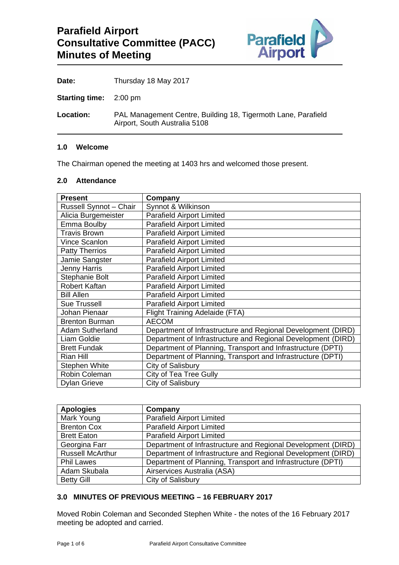

**Date:** Thursday 18 May 2017

**Starting time:** 2:00 pm

**Location:** PAL Management Centre, Building 18, Tigermoth Lane, Parafield Airport, South Australia 5108

#### **1.0 Welcome**

The Chairman opened the meeting at 1403 hrs and welcomed those present.

## **2.0 Attendance**

| <b>Present</b>                | Company                                                      |  |
|-------------------------------|--------------------------------------------------------------|--|
| <b>Russell Synnot - Chair</b> | Synnot & Wilkinson                                           |  |
| Alicia Burgemeister           | <b>Parafield Airport Limited</b>                             |  |
| Emma Boulby                   | <b>Parafield Airport Limited</b>                             |  |
| <b>Travis Brown</b>           | <b>Parafield Airport Limited</b>                             |  |
| Vince Scanlon                 | <b>Parafield Airport Limited</b>                             |  |
| <b>Patty Therrios</b>         | <b>Parafield Airport Limited</b>                             |  |
| Jamie Sangster                | <b>Parafield Airport Limited</b>                             |  |
| Jenny Harris                  | <b>Parafield Airport Limited</b>                             |  |
| Stephanie Bolt                | <b>Parafield Airport Limited</b>                             |  |
| <b>Robert Kaftan</b>          | <b>Parafield Airport Limited</b>                             |  |
| <b>Bill Allen</b>             | <b>Parafield Airport Limited</b>                             |  |
| <b>Sue Trussell</b>           | <b>Parafield Airport Limited</b>                             |  |
| Johan Pienaar                 | <b>Flight Training Adelaide (FTA)</b>                        |  |
| <b>Brenton Burman</b>         | <b>AECOM</b>                                                 |  |
| <b>Adam Sutherland</b>        | Department of Infrastructure and Regional Development (DIRD) |  |
| Liam Goldie                   | Department of Infrastructure and Regional Development (DIRD) |  |
| <b>Brett Fundak</b>           | Department of Planning, Transport and Infrastructure (DPTI)  |  |
| <b>Rian Hill</b>              | Department of Planning, Transport and Infrastructure (DPTI)  |  |
| <b>Stephen White</b>          | City of Salisbury                                            |  |
| Robin Coleman                 | City of Tea Tree Gully                                       |  |
| <b>Dylan Grieve</b>           | City of Salisbury                                            |  |

| <b>Apologies</b>        | Company                                                      |  |  |
|-------------------------|--------------------------------------------------------------|--|--|
| Mark Young              | <b>Parafield Airport Limited</b>                             |  |  |
| <b>Brenton Cox</b>      | <b>Parafield Airport Limited</b>                             |  |  |
| <b>Brett Eaton</b>      | <b>Parafield Airport Limited</b>                             |  |  |
| Georgina Farr           | Department of Infrastructure and Regional Development (DIRD) |  |  |
| <b>Russell McArthur</b> | Department of Infrastructure and Regional Development (DIRD) |  |  |
| <b>Phil Lawes</b>       | Department of Planning, Transport and Infrastructure (DPTI)  |  |  |
| Adam Skubala            | Airservices Australia (ASA)                                  |  |  |
| <b>Betty Gill</b>       | City of Salisbury                                            |  |  |

## **3.0 MINUTES OF PREVIOUS MEETING – 16 FEBRUARY 2017**

Moved Robin Coleman and Seconded Stephen White - the notes of the 16 February 2017 meeting be adopted and carried.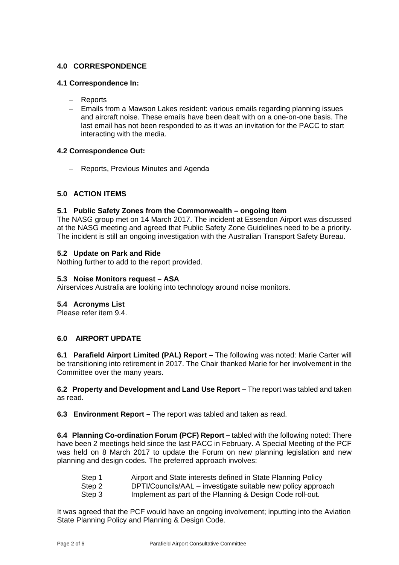# **4.0 CORRESPONDENCE**

#### **4.1 Correspondence In:**

- Reports
- Emails from a Mawson Lakes resident: various emails regarding planning issues and aircraft noise. These emails have been dealt with on a one-on-one basis. The last email has not been responded to as it was an invitation for the PACC to start interacting with the media.

#### **4.2 Correspondence Out:**

- Reports, Previous Minutes and Agenda

## **5.0 ACTION ITEMS**

#### **5.1 Public Safety Zones from the Commonwealth – ongoing item**

The NASG group met on 14 March 2017. The incident at Essendon Airport was discussed at the NASG meeting and agreed that Public Safety Zone Guidelines need to be a priority. The incident is still an ongoing investigation with the Australian Transport Safety Bureau.

#### **5.2 Update on Park and Ride**

Nothing further to add to the report provided.

#### **5.3 Noise Monitors request – ASA**

Airservices Australia are looking into technology around noise monitors.

#### **5.4 Acronyms List**

Please refer item 9.4.

## **6.0 AIRPORT UPDATE**

**6.1 Parafield Airport Limited (PAL) Report –** The following was noted: Marie Carter will be transitioning into retirement in 2017. The Chair thanked Marie for her involvement in the Committee over the many years.

**6.2 Property and Development and Land Use Report –** The report was tabled and taken as read.

**6.3 Environment Report –** The report was tabled and taken as read.

**6.4 Planning Co-ordination Forum (PCF) Report –** tabled with the following noted: There have been 2 meetings held since the last PACC in February. A Special Meeting of the PCF was held on 8 March 2017 to update the Forum on new planning legislation and new planning and design codes. The preferred approach involves:

| Step 1 | Airport and State interests defined in State Planning Policy |  |
|--------|--------------------------------------------------------------|--|
|        |                                                              |  |

Step 2 DPTI/Councils/AAL – investigate suitable new policy approach

Step 3 Implement as part of the Planning & Design Code roll-out.

It was agreed that the PCF would have an ongoing involvement; inputting into the Aviation State Planning Policy and Planning & Design Code.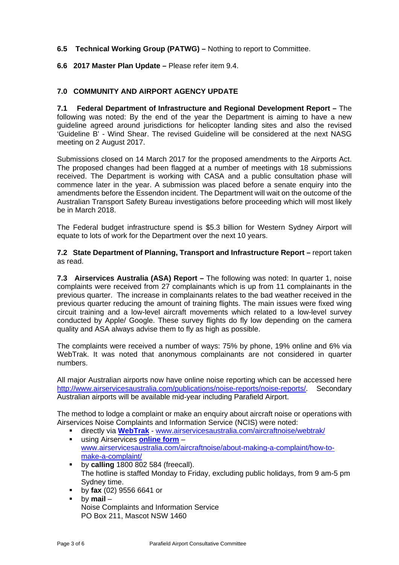## **6.5 Technical Working Group (PATWG) –** Nothing to report to Committee.

## **6.6 2017 Master Plan Update –** Please refer item 9.4.

## **7.0 COMMUNITY AND AIRPORT AGENCY UPDATE**

**7.1 Federal Department of Infrastructure and Regional Development Report –** The following was noted: By the end of the year the Department is aiming to have a new guideline agreed around jurisdictions for helicopter landing sites and also the revised 'Guideline B' - Wind Shear. The revised Guideline will be considered at the next NASG meeting on 2 August 2017.

Submissions closed on 14 March 2017 for the proposed amendments to the Airports Act. The proposed changes had been flagged at a number of meetings with 18 submissions received. The Department is working with CASA and a public consultation phase will commence later in the year. A submission was placed before a senate enquiry into the amendments before the Essendon incident. The Department will wait on the outcome of the Australian Transport Safety Bureau investigations before proceeding which will most likely be in March 2018.

The Federal budget infrastructure spend is \$5.3 billion for Western Sydney Airport will equate to lots of work for the Department over the next 10 years.

#### **7.2 State Department of Planning, Transport and Infrastructure Report –** report taken as read.

**7.3 Airservices Australia (ASA) Report –** The following was noted: In quarter 1, noise complaints were received from 27 complainants which is up from 11 complainants in the previous quarter. The increase in complainants relates to the bad weather received in the previous quarter reducing the amount of training flights. The main issues were fixed wing circuit training and a low-level aircraft movements which related to a low-level survey conducted by Apple/ Google. These survey flights do fly low depending on the camera quality and ASA always advise them to fly as high as possible.

The complaints were received a number of ways: 75% by phone, 19% online and 6% via WebTrak. It was noted that anonymous complainants are not considered in quarter numbers.

All major Australian airports now have online noise reporting which can be accessed here http://www.airservicesaustralia.com/publications/noise-reports/noise-reports/. Secondary Australian airports will be available mid-year including Parafield Airport.

The method to lodge a complaint or make an enquiry about aircraft noise or operations with Airservices Noise Complaints and Information Service (NCIS) were noted:

- directly via **WebTrak** www.airservicesaustralia.com/aircraftnoise/webtrak/
- using Airservices **online form** www.airservicesaustralia.com/aircraftnoise/about-making-a-complaint/how-tomake-a-complaint/
- **by calling** 1800 802 584 (freecall). The hotline is staffed Monday to Friday, excluding public holidays, from 9 am-5 pm Sydney time.
- by **fax** (02) 9556 6641 or
- by **mail** Noise Complaints and Information Service PO Box 211, Mascot NSW 1460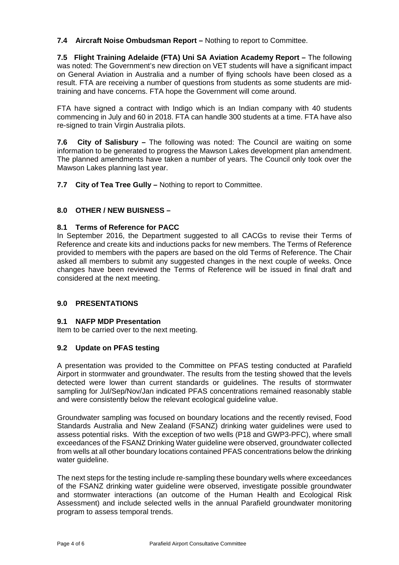**7.4 Aircraft Noise Ombudsman Report –** Nothing to report to Committee.

**7.5 Flight Training Adelaide (FTA) Uni SA Aviation Academy Report –** The following was noted: The Government's new direction on VET students will have a significant impact on General Aviation in Australia and a number of flying schools have been closed as a result. FTA are receiving a number of questions from students as some students are midtraining and have concerns. FTA hope the Government will come around.

FTA have signed a contract with Indigo which is an Indian company with 40 students commencing in July and 60 in 2018. FTA can handle 300 students at a time. FTA have also re-signed to train Virgin Australia pilots.

**7.6 City of Salisbury –** The following was noted: The Council are waiting on some information to be generated to progress the Mawson Lakes development plan amendment. The planned amendments have taken a number of years. The Council only took over the Mawson Lakes planning last year.

**7.7 City of Tea Tree Gully –** Nothing to report to Committee.

# **8.0 OTHER / NEW BUISNESS –**

## **8.1 Terms of Reference for PACC**

In September 2016, the Department suggested to all CACGs to revise their Terms of Reference and create kits and inductions packs for new members. The Terms of Reference provided to members with the papers are based on the old Terms of Reference. The Chair asked all members to submit any suggested changes in the next couple of weeks. Once changes have been reviewed the Terms of Reference will be issued in final draft and considered at the next meeting.

## **9.0 PRESENTATIONS**

## **9.1 NAFP MDP Presentation**

Item to be carried over to the next meeting.

## **9.2 Update on PFAS testing**

A presentation was provided to the Committee on PFAS testing conducted at Parafield Airport in stormwater and groundwater. The results from the testing showed that the levels detected were lower than current standards or guidelines. The results of stormwater sampling for Jul/Sep/Nov/Jan indicated PFAS concentrations remained reasonably stable and were consistently below the relevant ecological guideline value.

Groundwater sampling was focused on boundary locations and the recently revised, Food Standards Australia and New Zealand (FSANZ) drinking water guidelines were used to assess potential risks. With the exception of two wells (P18 and GWP3-PFC), where small exceedances of the FSANZ Drinking Water guideline were observed, groundwater collected from wells at all other boundary locations contained PFAS concentrations below the drinking water guideline.

The next steps for the testing include re-sampling these boundary wells where exceedances of the FSANZ drinking water guideline were observed, investigate possible groundwater and stormwater interactions (an outcome of the Human Health and Ecological Risk Assessment) and include selected wells in the annual Parafield groundwater monitoring program to assess temporal trends.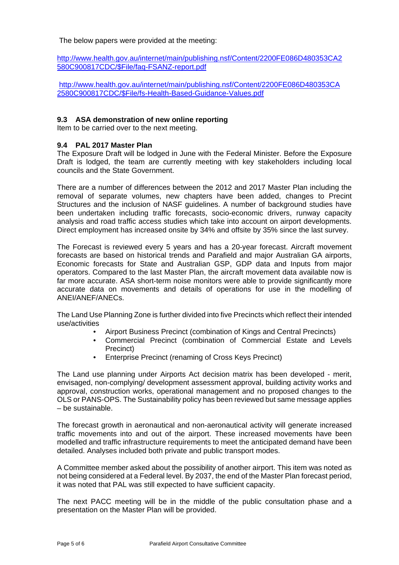The below papers were provided at the meeting:

http://www.health.gov.au/internet/main/publishing.nsf/Content/2200FE086D480353CA2 580C900817CDC/\$File/faq-FSANZ-report.pdf

http://www.health.gov.au/internet/main/publishing.nsf/Content/2200FE086D480353CA 2580C900817CDC/\$File/fs-Health-Based-Guidance-Values.pdf

#### **9.3 ASA demonstration of new online reporting**

Item to be carried over to the next meeting.

#### **9.4 PAL 2017 Master Plan**

The Exposure Draft will be lodged in June with the Federal Minister. Before the Exposure Draft is lodged, the team are currently meeting with key stakeholders including local councils and the State Government.

There are a number of differences between the 2012 and 2017 Master Plan including the removal of separate volumes, new chapters have been added, changes to Precint Structures and the inclusion of NASF guidelines. A number of background studies have been undertaken including traffic forecasts, socio-economic drivers, runway capacity analysis and road traffic access studies which take into account on airport developments. Direct employment has increased onsite by 34% and offsite by 35% since the last survey.

The Forecast is reviewed every 5 years and has a 20-year forecast. Aircraft movement forecasts are based on historical trends and Parafield and major Australian GA airports, Economic forecasts for State and Australian GSP, GDP data and Inputs from major operators. Compared to the last Master Plan, the aircraft movement data available now is far more accurate. ASA short-term noise monitors were able to provide significantly more accurate data on movements and details of operations for use in the modelling of ANEI/ANEF/ANECs.

The Land Use Planning Zone is further divided into five Precincts which reflect their intended use/activities

- Airport Business Precinct (combination of Kings and Central Precincts)
- Commercial Precinct (combination of Commercial Estate and Levels Precinct)
- Enterprise Precinct (renaming of Cross Keys Precinct)

The Land use planning under Airports Act decision matrix has been developed - merit, envisaged, non-complying/ development assessment approval, building activity works and approval, construction works, operational management and no proposed changes to the OLS or PANS-OPS. The Sustainability policy has been reviewed but same message applies – be sustainable.

The forecast growth in aeronautical and non-aeronautical activity will generate increased traffic movements into and out of the airport. These increased movements have been modelled and traffic infrastructure requirements to meet the anticipated demand have been detailed. Analyses included both private and public transport modes.

A Committee member asked about the possibility of another airport. This item was noted as not being considered at a Federal level. By 2037, the end of the Master Plan forecast period, it was noted that PAL was still expected to have sufficient capacity.

The next PACC meeting will be in the middle of the public consultation phase and a presentation on the Master Plan will be provided.